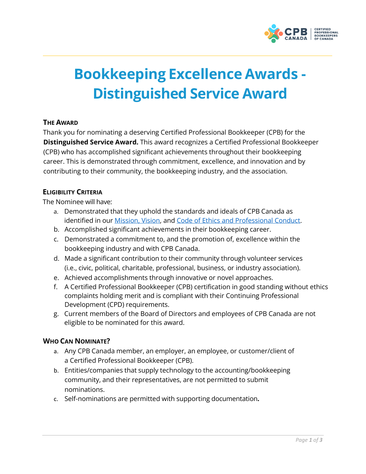

# **Bookkeeping Excellence Awards - Distinguished Service Award**

## **THE AWARD**

Thank you for nominating a deserving Certified Professional Bookkeeper (CPB) for the **Distinguished Service Award.** This award recognizes a Certified Professional Bookkeeper (CPB) who has accomplished significant achievements throughout their bookkeeping career. This is demonstrated through commitment, excellence, and innovation and by contributing to their community, the bookkeeping industry, and the association.

## **ELIGIBILITY CRITERIA**

The Nominee will have:

- a. Demonstrated that they uphold the standards and ideals of CPB Canada as identified in our [Mission, Vision, a](https://cpbcan.ca/about/about.html)nd [Code of Ethics and Professional Conduct.](https://cpbcan.ca/about/ethics/code-of-conduct.html)
- b. Accomplished significant achievements in their bookkeeping career.
- c. Demonstrated a commitment to, and the promotion of, excellence within the bookkeeping industry and with CPB Canada.
- d. Made a significant contribution to their community through volunteer services (i.e., civic, political, charitable, professional, business, or industry association).
- e. Achieved accomplishments through innovative or novel approaches.
- f. A Certified Professional Bookkeeper (CPB) certification in good standing without ethics complaints holding merit and is compliant with their Continuing Professional Development (CPD) requirements.
- g. Current members of the Board of Directors and employees of CPB Canada are not eligible to be nominated for this award.

#### **WHO CAN NOMINATE?**

- a. Any CPB Canada member, an employer, an employee, or customer/client of a Certified Professional Bookkeeper (CPB).
- b. Entities/companies that supply technology to the accounting/bookkeeping community, and their representatives, are not permitted to submit nominations.
- c. Self-nominations are permitted with supporting documentation**.**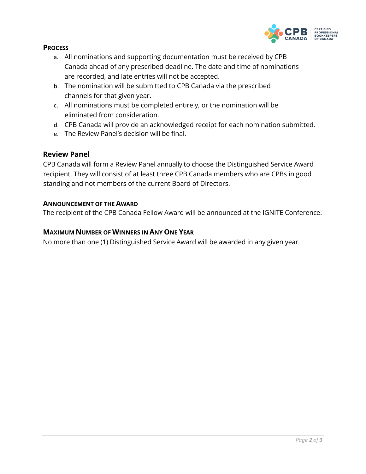

#### **PROCESS**

- a. All nominations and supporting documentation must be received by CPB Canada ahead of any prescribed deadline. The date and time of nominations are recorded, and late entries will not be accepted.
- b. The nomination will be submitted to CPB Canada via the prescribed channels for that given year.
- c. All nominations must be completed entirely, or the nomination will be eliminated from consideration.
- d. CPB Canada will provide an acknowledged receipt for each nomination submitted.
- e. The Review Panel's decision will be final.

## **Review Panel**

CPB Canada will form a Review Panel annually to choose the Distinguished Service Award recipient. They will consist of at least three CPB Canada members who are CPBs in good standing and not members of the current Board of Directors.

#### **ANNOUNCEMENT OF THE AWARD**

The recipient of the CPB Canada Fellow Award will be announced at the IGNITE Conference.

#### **MAXIMUM NUMBER OF WINNERS IN ANY ONE YEAR**

No more than one (1) Distinguished Service Award will be awarded in any given year.